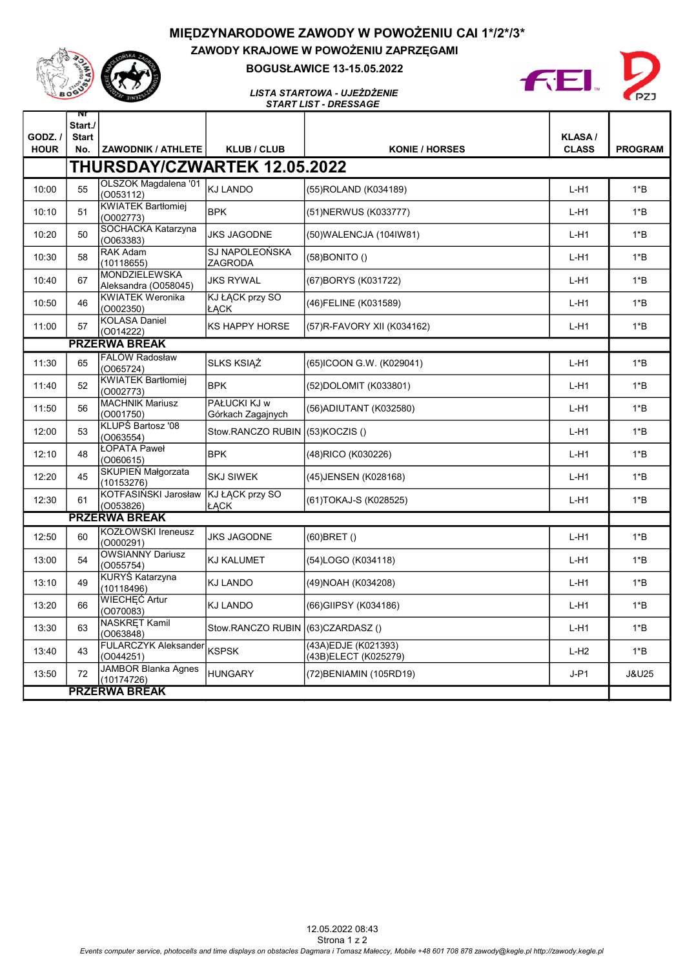## MIĘDZYNARODOWE ZAWODY W POWOŻENIU CAI 1\*/2\*/3\*



ZAWODY KRAJOWE W POWOŻENIU ZAPRZĘGAMI BOGUSŁAWICE 13-15.05.2022



START LIST - DRESSAGE LISTA STARTOWA - UJEŻDŻENIE

| $GODZ.$ /<br><b>HOUR</b>     | Nľ<br>Start./<br><b>Start</b><br>No. | <b>ZAWODNIK / ATHLETE</b>                | <b>KLUB / CLUB</b>                    | <b>KONIE / HORSES</b>                        | <b>KLASA/</b><br><b>CLASS</b> | <b>PROGRAM</b>   |  |
|------------------------------|--------------------------------------|------------------------------------------|---------------------------------------|----------------------------------------------|-------------------------------|------------------|--|
| THURSDAY/CZWARTEK 12.05.2022 |                                      |                                          |                                       |                                              |                               |                  |  |
| 10:00                        | 55                                   | OLSZOK Magdalena '01<br>(O053112)        | <b>KJ LANDO</b>                       | (55) ROLAND (K034189)                        | $L-H1$                        | $1*B$            |  |
| 10:10                        | 51                                   | <b>KWIATEK Bartłomiej</b><br>(O002773)   | <b>BPK</b>                            | (51) NERWUS (K033777)                        | $L-H1$                        | $1*B$            |  |
| 10:20                        | 50                                   | SOCHACKA Katarzyna<br>(0063383)          | <b>JKS JAGODNE</b>                    | (50) WALENCJA (104 IW81)                     | $L-H1$                        | $1*B$            |  |
| 10:30                        | 58                                   | RAK Adam<br>(10118655)                   | SJ NAPOLEOŃSKA<br>ZAGRODA             | (58) BONITO ()                               | $L-H1$                        | $1*B$            |  |
| 10:40                        | 67                                   | MONDZIELEWSKA<br>Aleksandra (O058045)    | <b>JKS RYWAL</b>                      | (67) BORYS (K031722)                         | $L-H1$                        | $1*B$            |  |
| 10:50                        | 46                                   | <b>KWIATEK Weronika</b><br>(O002350)     | <b>KJ ŁĄCK przy SO</b><br><b>ŁACK</b> | (46) FELINE (K031589)                        | $L-H1$                        | $1*B$            |  |
| 11:00                        | 57                                   | <b>KOLASA Daniel</b><br>(O014222)        | <b>KS HAPPY HORSE</b>                 | (57) R-FAVORY XII (K034162)                  | $L-H1$                        | $1*B$            |  |
|                              |                                      | <b>PRZERWA BREAK</b>                     |                                       |                                              |                               |                  |  |
| 11:30                        | 65                                   | FALÓW Radosław<br>(O065724)              | <b>SLKS KSIAŻ</b>                     | (65)ICOON G.W. (K029041)                     | $L-H1$                        | $1*B$            |  |
| 11:40                        | 52                                   | <b>KWIATEK Bartłomiej</b><br>(O002773)   | <b>BPK</b>                            | (52)DOLOMIT (K033801)                        | $L-H1$                        | $1*B$            |  |
| 11:50                        | 56                                   | <b>MACHNIK Mariusz</b><br>(0001750)      | PAŁUCKI KJ w<br>Górkach Zagajnych     | (56) ADIUTANT (K032580)                      | $L-H1$                        | $1*B$            |  |
| 12:00                        | 53                                   | KLUPŚ Bartosz '08<br>(O063554)           | Stow.RANCZO RUBIN                     | $(53)$ KOCZIS $()$                           | $L-H1$                        | $1*B$            |  |
| 12:10                        | 48                                   | ŁOPATA Paweł<br>(0060615)                | <b>BPK</b>                            | (48)RICO (K030226)                           | $L-H1$                        | $1*B$            |  |
| 12:20                        | 45                                   | SKUPIEŃ Małgorzata<br>(10153276)         | <b>SKJ SIWEK</b>                      | (45) JENSEN (K028168)                        | $L-H1$                        | $1*B$            |  |
| 12:30                        | 61                                   | KOTFASIŃSKI Jarosław<br>(0053826)        | KJ ŁĄCK przy SO<br>ŁACK               | (61)TOKAJ-S (K028525)                        | $L-H1$                        | $1*B$            |  |
|                              |                                      | <b>PRZERWA BREAK</b>                     |                                       |                                              |                               |                  |  |
| 12:50                        | 60                                   | KOZŁOWSKI Ireneusz<br>(O000291)          | <b>JKS JAGODNE</b>                    | (60) BRET ()                                 | $L-H1$                        | $1*B$            |  |
| 13:00                        | 54                                   | <b>OWSIANNY Dariusz</b><br>(0055754)     | <b>KJ KALUMET</b>                     | (54)LOGO (K034118)                           | $L-H1$                        | $1*B$            |  |
| 13:10                        | 49                                   | KURYŚ Katarzyna<br>(10118496)            | <b>KJ LANDO</b>                       | (49) NOAH (K034208)                          | $L-H1$                        | $1*B$            |  |
| 13:20                        | 66                                   | WIECHEĆ Artur<br>(0070083)               | <b>KJ LANDO</b>                       | (66) GIIPSY (K034186)                        | $L-H1$                        | $1*B$            |  |
| 13:30                        | 63                                   | <b>NASKRET Kamil</b><br>(O063848)        | Stow.RANCZO RUBIN                     | $(63)$ CZARDASZ $()$                         | $L-H1$                        | $1*B$            |  |
| 13:40                        | 43                                   | <b>FULARCZYK Aleksander</b><br>(0044251) | <b>KSPSK</b>                          | (43A) EDJE (K021393)<br>(43B)ELECT (K025279) | $L-H2$                        | $1*B$            |  |
| 13:50                        | 72                                   | <b>JAMBOR Blanka Agnes</b><br>(10174726) | <b>HUNGARY</b>                        | (72) BENIAMIN (105RD19)                      | $J-P1$                        | <b>J&amp;U25</b> |  |
| <b>PRZERWA BREAK</b>         |                                      |                                          |                                       |                                              |                               |                  |  |